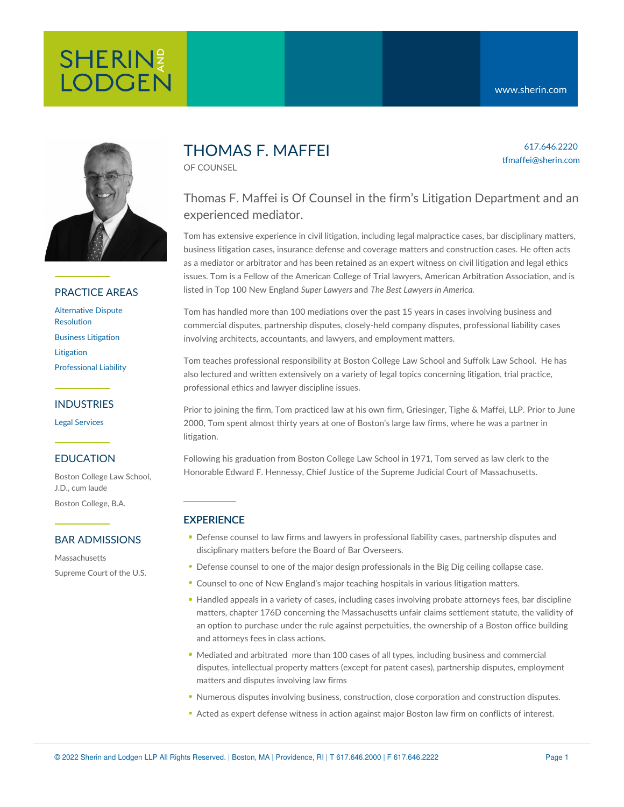617.646.2220 tfmaffei@sherin.com



# PRACTICE AREAS

[Alternative](https://www.sherin.com/practice-areas/litigation/alternative-dispute-resolution/) Dispute Resolution Business [Litigation](https://www.sherin.com/practice-areas/litigation/business-litigation/) [Litigation](https://www.sherin.com/practice-areas/litigation/) [Professional](https://www.sherin.com/practice-areas/litigation/professional-liability/) Liability

## INDUSTRIES

Legal [Services](https://www.sherin.com/industries/legal-services/)

#### EDUCATION

Boston College Law School, J.D., cum laude Boston College, B.A.

#### BAR ADMISSIONS

**Massachusetts** Supreme Court of the U.S.

# THOMAS F. MAFFEI

OF COUNSEL

# Thomas F. Maffei is Of Counsel in the firm's Litigation Department and an experienced mediator.

Tom has extensive experience in civil litigation, including legal malpractice cases, bar disciplinary matters, business litigation cases, insurance defense and coverage matters and construction cases. He often acts as a mediator or arbitrator and has been retained as an expert witness on civil litigation and legal ethics issues. Tom is a Fellow of the American College of Trial lawyers, American Arbitration Association, and is listed in Top 100 New England *Super Lawyers* and *The Best Lawyers in America.*

Tom has handled more than 100 mediations over the past 15 years in cases involving business and commercial disputes, partnership disputes, closely-held company disputes, professional liability cases involving architects, accountants, and lawyers, and employment matters.

Tom teaches professional responsibility at Boston College Law School and Suffolk Law School. He has also lectured and written extensively on a variety of legal topics concerning litigation, trial practice, professional ethics and lawyer discipline issues.

Prior to joining the firm, Tom practiced law at his own firm, Griesinger, Tighe & Maffei, LLP. Prior to June 2000, Tom spent almost thirty years at one of Boston's large law firms, where he was a partner in litigation.

Following his graduation from Boston College Law School in 1971, Tom served as law clerk to the Honorable Edward F. Hennessy, Chief Justice of the Supreme Judicial Court of Massachusetts.

#### **EXPERIENCE**

- Defense counsel to law firms and lawyers in professional liability cases, partnership disputes and disciplinary matters before the Board of Bar Overseers.
- Defense counsel to one of the major design professionals in the Big Dig ceiling collapse case.
- Counsel to one of New England's major teaching hospitals in various litigation matters.
- Handled appeals in a variety of cases, including cases involving probate attorneys fees, bar discipline matters, chapter 176D concerning the Massachusetts unfair claims settlement statute, the validity of an option to purchase under the rule against perpetuities, the ownership of a Boston office building and attorneys fees in class actions.
- Mediated and arbitrated more than 100 cases of all types, including business and commercial disputes, intellectual property matters (except for patent cases), partnership disputes, employment matters and disputes involving law firms
- Numerous disputes involving business, construction, close corporation and construction disputes.
- Acted as expert defense witness in action against major Boston law firm on conflicts of interest.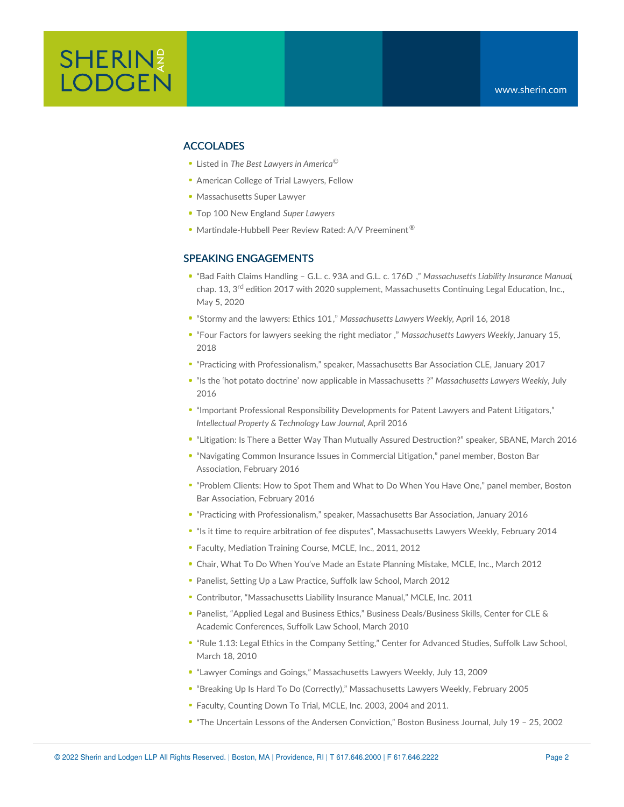#### ACCOLADES

- Listed in *The Best Lawyers in America* ©
- **American College of Trial Lawyers, Fellow**
- Massachusetts Super Lawyer
- Top 100 New England *Super Lawyers*
- Martindale-Hubbell Peer Review Rated: A/V Preeminent<sup>®</sup>

#### SPEAKING ENGAGEMENTS

- "Bad Faith Claims [Handling](https://www.mcle.org/product/catalog/code/2000255B00) G.L. c. 93A and G.L. c. 176D ," *Massachusetts Liability Insurance Manual*, chap. 13, 3<sup>rd</sup> edition 2017 with 2020 supplement, Massachusetts Continuing Legal Education, Inc., May 5, 2020
- "Stormy and the [lawyers:](https://www.sherin.com/wp-content/uploads/2018/04/MLW-TFM-02388-Final.pdf) Ethics 101," *Massachusetts Lawyers Weekly*, April 16, 2018
- "Four Factors for lawyers seeking the right [mediator](https://www.sherin.com/firm-news/christopher-r-blazewjewski-and-thomas-f-maffeis-article-four-factors-for-lawyers-seeking-the-right-mediator-published-in-massachusetts-lawyers-weekly/) [,](https://www.sherin.com/wp-content/uploads/2018/01/MLW-CRB-and-TFM.pdf)" *Massachusetts Lawyers Weekly,* January 15, 2018
- "Practicing with Professionalism," speaker, Massachusetts Bar Association CLE, January 2017
- "Is the 'hot potato doctrine' now applicable in [Massachusetts](https://www.sherin.com/wp-content/uploads/2016/07/TFM-JGK-Hot-Potato-MLW.pdf) ?" *Massachusetts Lawyers Weekly,* July 2016
- "Important Professional Responsibility Developments for Patent Lawyers and Patent Litigators," *Intellectual Property & Technology Law Journal*, April 2016
- "Litigation: Is There a Better Way Than Mutually Assured Destruction?" speaker, SBANE, March 2016
- "Navigating Common Insurance Issues in Commercial Litigation," panel member, Boston Bar Association, February 2016
- "Problem Clients: How to Spot Them and What to Do When You Have One," panel member, Boston Bar Association, February 2016
- "Practicing with Professionalism," speaker, Massachusetts Bar Association, January 2016
- "Is it time to require arbitration of fee disputes", Massachusetts Lawyers Weekly, February 2014
- Faculty, Mediation Training Course, MCLE, Inc., 2011, 2012
- Chair, What To Do When You've Made an Estate Planning Mistake, MCLE, Inc., March 2012
- Panelist, Setting Up a Law Practice, Suffolk law School, March 2012
- Contributor, "Massachusetts Liability Insurance Manual," MCLE, Inc. 2011
- Panelist, "Applied Legal and Business Ethics," Business Deals/Business Skills, Center for CLE & Academic Conferences, Suffolk Law School, March 2010
- "Rule 1.13: Legal Ethics in the Company Setting," Center for Advanced Studies, Suffolk Law School, March 18, 2010
- "Lawyer Comings and Goings," Massachusetts Lawyers Weekly, July 13, 2009
- "Breaking Up Is Hard To Do (Correctly)," Massachusetts Lawyers Weekly, February 2005
- Faculty, Counting Down To Trial, MCLE, Inc. 2003, 2004 and 2011.
- "The Uncertain Lessons of the Andersen Conviction," Boston Business Journal, July 19 25, 2002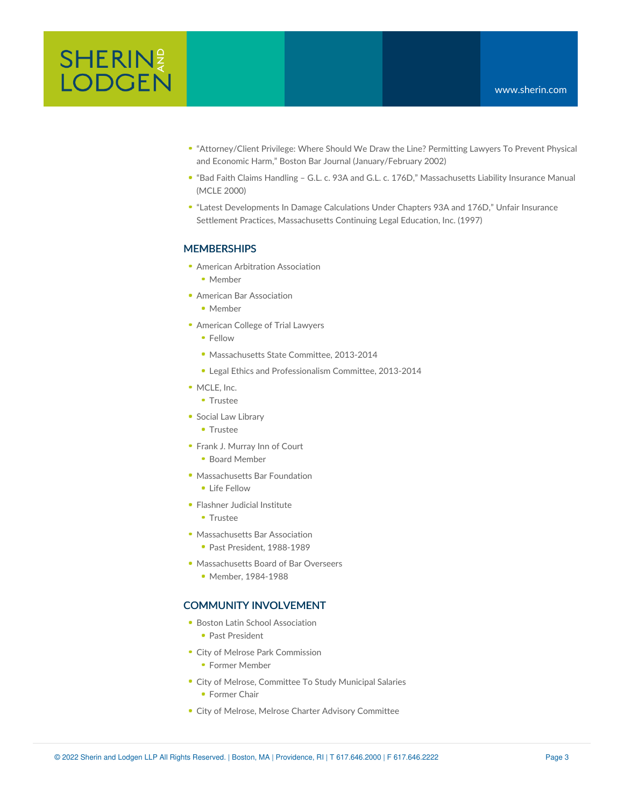

- "Attorney/Client Privilege: Where Should We Draw the Line? Permitting Lawyers To Prevent Physical and Economic Harm," Boston Bar Journal (January/February 2002)
- "Bad Faith Claims Handling G.L. c. 93A and G.L. c. 176D," Massachusetts Liability Insurance Manual (MCLE 2000)
- "Latest Developments In Damage Calculations Under Chapters 93A and 176D," Unfair Insurance Settlement Practices, Massachusetts Continuing Legal Education, Inc. (1997)

### **MEMBERSHIPS**

- American Arbitration [Association](http://adr.org/)
	- Member
- American Bar [Association](http://www.americanbar.org/aba.html)
	- Member
- [American](http://www.actl.com//AM/Template.cfm?Section=Home) College of Trial Lawyers
	- Fellow
	- **Massachusetts State Committee, 2013-2014**
	- **Legal Ethics and Professionalism Committee, 2013-2014**
- [MCLE,](http://www.mcle.org/) Inc.
	- **Trustee**
- **Social Law [Library](http://www.socialaw.com/)** 
	- Trustee
- Frank J. [Murray](http://www.innsofcourt.org/inns/fjmurrayinn/) Inn of Court
	- Board Member
- [Massachusetts](http://www.massbarfoundation.org/) Bar Foundation
	- **Life Fellow**
- [Flashner](http://www.flaschner.org/) Judicial Institute
	- **Trustee**
- [Massachusetts](http://www.massbar.org/) Bar Association
	- **Past President, 1988-1989**
- [Massachusetts](http://www.mass.gov/obcbbo/) Board of Bar Overseers
	- Member, 1984-1988

#### COMMUNITY INVOLVEMENT

- **Boston Latin School Association** 
	- Past President
- City of Melrose Park Commission
	- **Former Member**
- City of Melrose, Committee To Study Municipal Salaries
	- **Former Chair**
- City of Melrose, Melrose Charter Advisory Committee